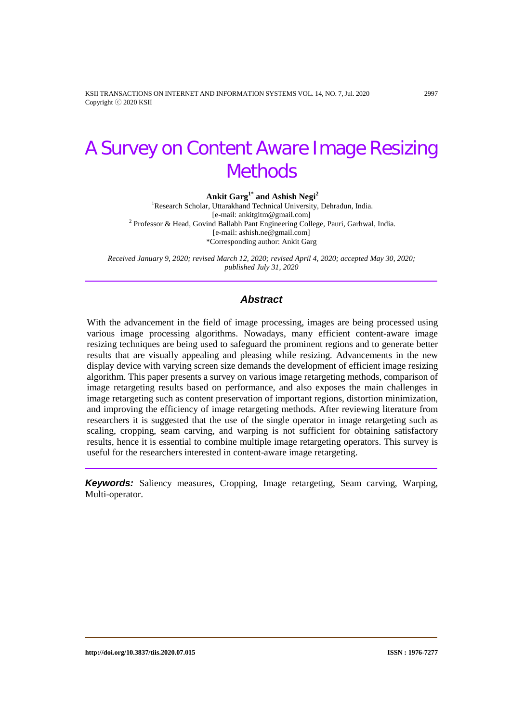KSII TRANSACTIONS ON INTERNET AND INFORMATION SYSTEMS VOL. 14, NO. 7, Jul. 2020 2997 Copyright ⓒ 2020 KSII

# A Survey on Content Aware Image Resizing **Methods**

**Ankit Garg1\* and Ashish Negi2** 1 Research Scholar, Uttarakhand Technical University, Dehradun, India. [e-mail: ankitgitm@gmail.com] <sup>2</sup> Professor & Head, Govind Ballabh Pant Engineering College, Pauri, Garhwal, India. [e-mail: ashish.ne@gmail.com] \*Corresponding author: Ankit Garg

*Received January 9, 2020; revised March 12, 2020; revised April 4, 2020; accepted May 30, 2020; published July 31, 2020*

# *Abstract*

With the advancement in the field of image processing, images are being processed using various image processing algorithms. Nowadays, many efficient content-aware image resizing techniques are being used to safeguard the prominent regions and to generate better results that are visually appealing and pleasing while resizing. Advancements in the new display device with varying screen size demands the development of efficient image resizing algorithm. This paper presents a survey on various image retargeting methods, comparison of image retargeting results based on performance, and also exposes the main challenges in image retargeting such as content preservation of important regions, distortion minimization, and improving the efficiency of image retargeting methods. After reviewing literature from researchers it is suggested that the use of the single operator in image retargeting such as scaling, cropping, seam carving, and warping is not sufficient for obtaining satisfactory results, hence it is essential to combine multiple image retargeting operators. This survey is useful for the researchers interested in content-aware image retargeting.

*Keywords:* Saliency measures, Cropping, Image retargeting, Seam carving, Warping, Multi-operator.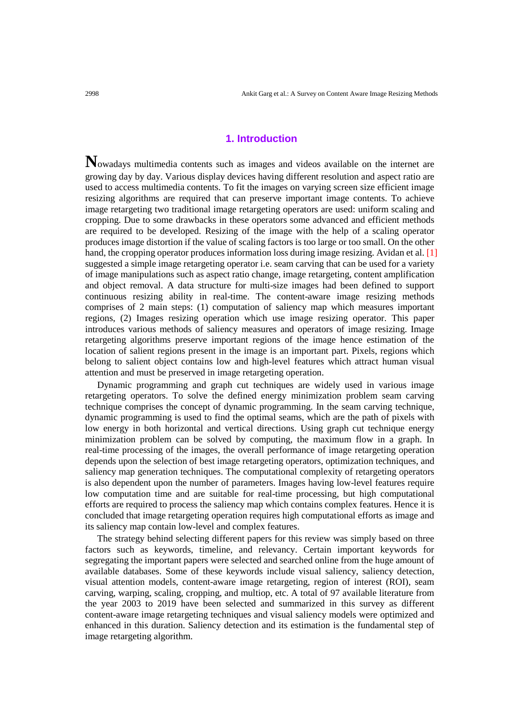# **1. Introduction**

**N**owadays multimedia contents such as images and videos available on the internet are growing day by day. Various display devices having different resolution and aspect ratio are used to access multimedia contents. To fit the images on varying screen size efficient image resizing algorithms are required that can preserve important image contents. To achieve image retargeting two traditional image retargeting operators are used: uniform scaling and cropping. Due to some drawbacks in these operators some advanced and efficient methods are required to be developed. Resizing of the image with the help of a scaling operator produces image distortion if the value of scaling factors is too large or too small. On the other hand, the cropping operator produces information loss during image resizing. Avidan et al. [1] suggested a simple image retargeting operator i.e. seam carving that can be used for a variety of image manipulations such as aspect ratio change, image retargeting, content amplification and object removal. A data structure for multi-size images had been defined to support continuous resizing ability in real-time. The content-aware image resizing methods comprises of 2 main steps: (1) computation of saliency map which measures important regions, (2) Images resizing operation which use image resizing operator. This paper introduces various methods of saliency measures and operators of image resizing. Image retargeting algorithms preserve important regions of the image hence estimation of the location of salient regions present in the image is an important part. Pixels, regions which belong to salient object contains low and high-level features which attract human visual attention and must be preserved in image retargeting operation.

Dynamic programming and graph cut techniques are widely used in various image retargeting operators. To solve the defined energy minimization problem seam carving technique comprises the concept of dynamic programming. In the seam carving technique, dynamic programming is used to find the optimal seams, which are the path of pixels with low energy in both horizontal and vertical directions. Using graph cut technique energy minimization problem can be solved by computing, the maximum flow in a graph. In real-time processing of the images, the overall performance of image retargeting operation depends upon the selection of best image retargeting operators, optimization techniques, and saliency map generation techniques. The computational complexity of retargeting operators is also dependent upon the number of parameters. Images having low-level features require low computation time and are suitable for real-time processing, but high computational efforts are required to process the saliency map which contains complex features. Hence it is concluded that image retargeting operation requires high computational efforts as image and its saliency map contain low-level and complex features.

The strategy behind selecting different papers for this review was simply based on three factors such as keywords, timeline, and relevancy. Certain important keywords for segregating the important papers were selected and searched online from the huge amount of available databases. Some of these keywords include visual saliency, saliency detection, visual attention models, content-aware image retargeting, region of interest (ROI), seam carving, warping, scaling, cropping, and multiop, etc. A total of 97 available literature from the year 2003 to 2019 have been selected and summarized in this survey as different content-aware image retargeting techniques and visual saliency models were optimized and enhanced in this duration. Saliency detection and its estimation is the fundamental step of image retargeting algorithm.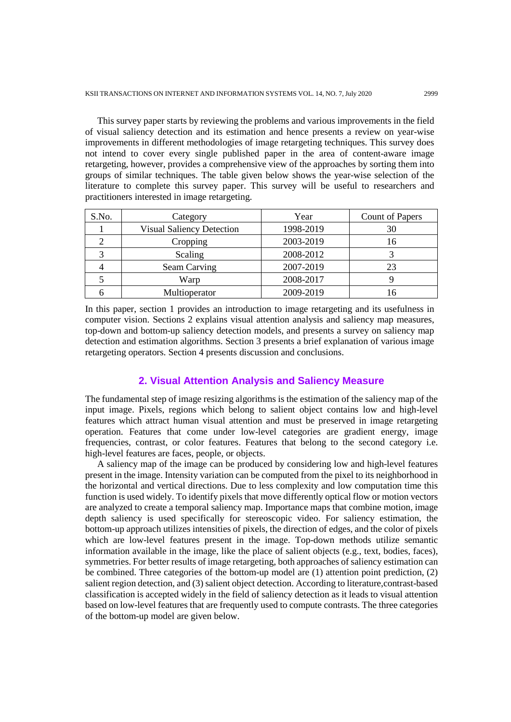This survey paper starts by reviewing the problems and various improvements in the field of visual saliency detection and its estimation and hence presents a review on year-wise improvements in different methodologies of image retargeting techniques. This survey does not intend to cover every single published paper in the area of content-aware image retargeting, however, provides a comprehensive view of the approaches by sorting them into groups of similar techniques. The table given below shows the year-wise selection of the literature to complete this survey paper. This survey will be useful to researchers and practitioners interested in image retargeting.

| S.No. | Category                         | Year      | Count of Papers |
|-------|----------------------------------|-----------|-----------------|
|       | <b>Visual Saliency Detection</b> | 1998-2019 | 30              |
|       | Cropping                         | 2003-2019 | 16              |
|       | Scaling                          | 2008-2012 |                 |
|       | Seam Carving                     | 2007-2019 | 23              |
|       | Warp                             | 2008-2017 |                 |
|       | Multioperator                    | 2009-2019 |                 |

In this paper, section 1 provides an introduction to image retargeting and its usefulness in computer vision. Sections 2 explains visual attention analysis and saliency map measures, top-down and bottom-up saliency detection models, and presents a survey on saliency map detection and estimation algorithms. Section 3 presents a brief explanation of various image retargeting operators. Section 4 presents discussion and conclusions.

# **2. Visual Attention Analysis and Saliency Measure**

The fundamental step of image resizing algorithms is the estimation of the saliency map of the input image. Pixels, regions which belong to salient object contains low and high-level features which attract human visual attention and must be preserved in image retargeting operation. Features that come under low-level categories are gradient energy, image frequencies, contrast, or color features. Features that belong to the second category i.e. high-level features are faces, people, or objects.

A saliency map of the image can be produced by considering low and high-level features present in the image. Intensity variation can be computed from the pixel to its neighborhood in the horizontal and vertical directions. Due to less complexity and low computation time this function is used widely. To identify pixels that move differently optical flow or motion vectors are analyzed to create a temporal saliency map. Importance maps that combine motion, image depth saliency is used specifically for stereoscopic video. For saliency estimation, the bottom-up approach utilizes intensities of pixels, the direction of edges, and the color of pixels which are low-level features present in the image. Top-down methods utilize semantic information available in the image, like the place of salient objects (e.g., text, bodies, faces), symmetries. For better results of image retargeting, both approaches of saliency estimation can be combined. Three categories of the bottom-up model are (1) attention point prediction, (2) salient region detection, and (3) salient object detection. According to literature,contrast-based classification is accepted widely in the field of saliency detection as it leads to visual attention based on low-level features that are frequently used to compute contrasts. The three categories of the bottom-up model are given below.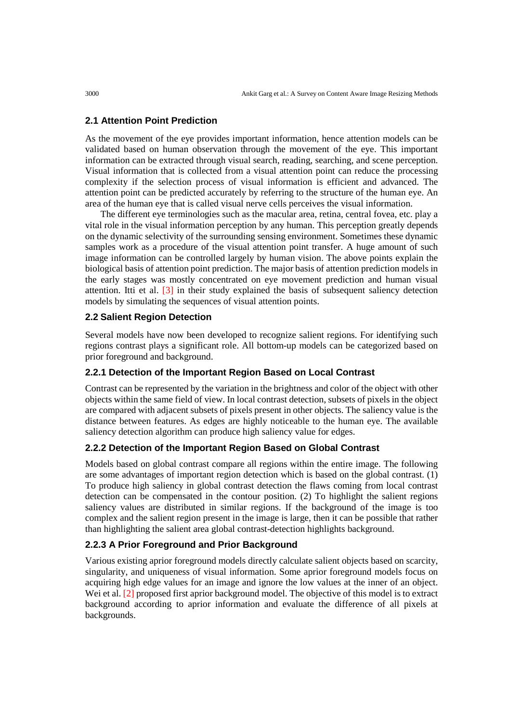## **2.1 Attention Point Prediction**

As the movement of the eye provides important information, hence attention models can be validated based on human observation through the movement of the eye. This important information can be extracted through visual search, reading, searching, and scene perception. Visual information that is collected from a visual attention point can reduce the processing complexity if the selection process of visual information is efficient and advanced. The attention point can be predicted accurately by referring to the structure of the human eye. An area of the human eye that is called visual nerve cells perceives the visual information.

The different eye terminologies such as the macular area, retina, central fovea, etc. play a vital role in the visual information perception by any human. This perception greatly depends on the dynamic selectivity of the surrounding sensing environment. Sometimes these dynamic samples work as a procedure of the visual attention point transfer. A huge amount of such image information can be controlled largely by human vision. The above points explain the biological basis of attention point prediction. The major basis of attention prediction models in the early stages was mostly concentrated on eye movement prediction and human visual attention. Itti et al. [3] in their study explained the basis of subsequent saliency detection models by simulating the sequences of visual attention points.

# **2.2 Salient Region Detection**

Several models have now been developed to recognize salient regions. For identifying such regions contrast plays a significant role. All bottom-up models can be categorized based on prior foreground and background.

## **2.2.1 Detection of the Important Region Based on Local Contrast**

Contrast can be represented by the variation in the brightness and color of the object with other objects within the same field of view. In local contrast detection, subsets of pixels in the object are compared with adjacent subsets of pixels present in other objects. The saliency value is the distance between features. As edges are highly noticeable to the human eye. The available saliency detection algorithm can produce high saliency value for edges.

# **2.2.2 Detection of the Important Region Based on Global Contrast**

Models based on global contrast compare all regions within the entire image. The following are some advantages of important region detection which is based on the global contrast. (1) To produce high saliency in global contrast detection the flaws coming from local contrast detection can be compensated in the contour position. (2) To highlight the salient regions saliency values are distributed in similar regions. If the background of the image is too complex and the salient region present in the image is large, then it can be possible that rather than highlighting the salient area global contrast-detection highlights background.

# **2.2.3 A Prior Foreground and Prior Background**

Various existing aprior foreground models directly calculate salient objects based on scarcity, singularity, and uniqueness of visual information. Some aprior foreground models focus on acquiring high edge values for an image and ignore the low values at the inner of an object. Wei et al. [2] proposed first aprior background model. The objective of this model is to extract background according to aprior information and evaluate the difference of all pixels at backgrounds.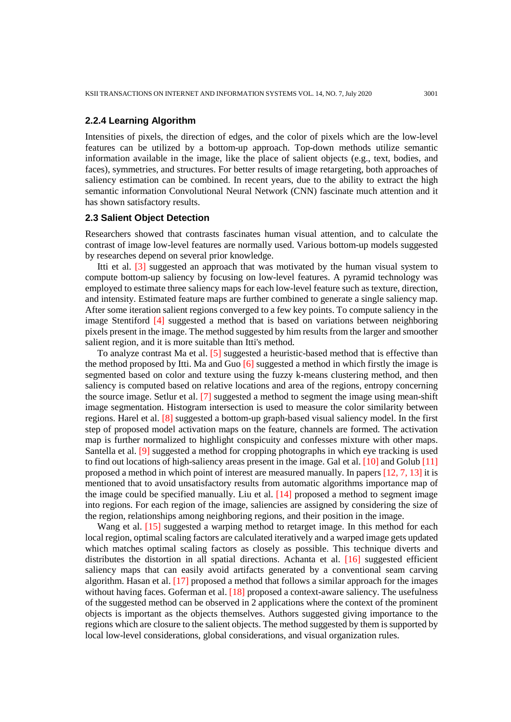# **2.2.4 Learning Algorithm**

Intensities of pixels, the direction of edges, and the color of pixels which are the low-level features can be utilized by a bottom-up approach. Top-down methods utilize semantic information available in the image, like the place of salient objects (e.g., text, bodies, and faces), symmetries, and structures. For better results of image retargeting, both approaches of saliency estimation can be combined. In recent years, due to the ability to extract the high semantic information Convolutional Neural Network (CNN) fascinate much attention and it has shown satisfactory results.

#### **2.3 Salient Object Detection**

Researchers showed that contrasts fascinates human visual attention, and to calculate the contrast of image low-level features are normally used. Various bottom-up models suggested by researches depend on several prior knowledge.

Itti et al. [3] suggested an approach that was motivated by the human visual system to compute bottom-up saliency by focusing on low-level features. A pyramid technology was employed to estimate three saliency maps for each low-level feature such as texture, direction, and intensity. Estimated feature maps are further combined to generate a single saliency map. After some iteration salient regions converged to a few key points. To compute saliency in the image Stentiford [4] suggested a method that is based on variations between neighboring pixels present in the image. The method suggested by him results from the larger and smoother salient region, and it is more suitable than Itti's method.

To analyze contrast Ma et al. [5] suggested a heuristic-based method that is effective than the method proposed by Itti. Ma and Guo [6] suggested a method in which firstly the image is segmented based on color and texture using the fuzzy k-means clustering method, and then saliency is computed based on relative locations and area of the regions, entropy concerning the source image. Setlur et al. [7] suggested a method to segment the image using mean-shift image segmentation. Histogram intersection is used to measure the color similarity between regions. Harel et al. [8] suggested a bottom-up graph-based visual saliency model. In the first step of proposed model activation maps on the feature, channels are formed. The activation map is further normalized to highlight conspicuity and confesses mixture with other maps. Santella et al. [9] suggested a method for cropping photographs in which eye tracking is used to find out locations of high-saliency areas present in the image. Gal et al. [10] and Golub [11] proposed a method in which point of interest are measured manually. In papers [12, 7, 13] it is mentioned that to avoid unsatisfactory results from automatic algorithms importance map of the image could be specified manually. Liu et al. [14] proposed a method to segment image into regions. For each region of the image, saliencies are assigned by considering the size of the region, relationships among neighboring regions, and their position in the image.

Wang et al. [15] suggested a warping method to retarget image. In this method for each local region, optimal scaling factors are calculated iteratively and a warped image gets updated which matches optimal scaling factors as closely as possible. This technique diverts and distributes the distortion in all spatial directions. Achanta et al. [16] suggested efficient saliency maps that can easily avoid artifacts generated by a conventional seam carving algorithm. Hasan et al. [17] proposed a method that follows a similar approach for the images without having faces. Goferman et al. [18] proposed a context-aware saliency. The usefulness of the suggested method can be observed in 2 applications where the context of the prominent objects is important as the objects themselves. Authors suggested giving importance to the regions which are closure to the salient objects. The method suggested by them is supported by local low-level considerations, global considerations, and visual organization rules.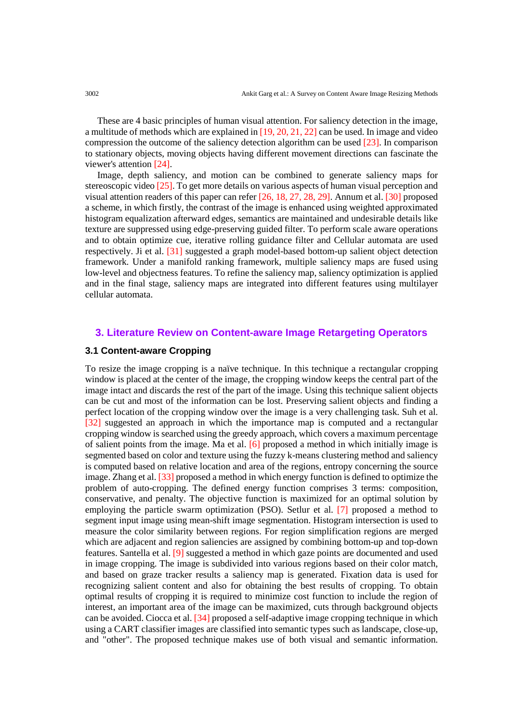These are 4 basic principles of human visual attention. For saliency detection in the image, a multitude of methods which are explained in [19, 20, 21, 22] can be used. In image and video compression the outcome of the saliency detection algorithm can be used [23]. In comparison to stationary objects, moving objects having different movement directions can fascinate the viewer's attention [24].

Image, depth saliency, and motion can be combined to generate saliency maps for stereoscopic video [25]. To get more details on various aspects of human visual perception and visual attention readers of this paper can refer [26, 18, 27, 28, 29]. Annum et al. [30] proposed a scheme, in which firstly, the contrast of the image is enhanced using weighted approximated histogram equalization afterward edges, semantics are maintained and undesirable details like texture are suppressed using edge-preserving guided filter. To perform scale aware operations and to obtain optimize cue, iterative rolling guidance filter and Cellular automata are used respectively. Ji et al. [31] suggested a graph model-based bottom-up salient object detection framework. Under a manifold ranking framework, multiple saliency maps are fused using low-level and objectness features. To refine the saliency map, saliency optimization is applied and in the final stage, saliency maps are integrated into different features using multilayer cellular automata.

# **3. Literature Review on Content-aware Image Retargeting Operators**

# **3.1 Content-aware Cropping**

To resize the image cropping is a naïve technique. In this technique a rectangular cropping window is placed at the center of the image, the cropping window keeps the central part of the image intact and discards the rest of the part of the image. Using this technique salient objects can be cut and most of the information can be lost. Preserving salient objects and finding a perfect location of the cropping window over the image is a very challenging task. Suh et al. [32] suggested an approach in which the importance map is computed and a rectangular cropping window is searched using the greedy approach, which covers a maximum percentage of salient points from the image. Ma et al. [6] proposed a method in which initially image is segmented based on color and texture using the fuzzy k-means clustering method and saliency is computed based on relative location and area of the regions, entropy concerning the source image. Zhang et al. [33] proposed a method in which energy function is defined to optimize the problem of auto-cropping. The defined energy function comprises 3 terms: composition, conservative, and penalty. The objective function is maximized for an optimal solution by employing the particle swarm optimization (PSO). Setlur et al. [7] proposed a method to segment input image using mean-shift image segmentation. Histogram intersection is used to measure the color similarity between regions. For region simplification regions are merged which are adjacent and region saliencies are assigned by combining bottom-up and top-down features. Santella et al. [9] suggested a method in which gaze points are documented and used in image cropping. The image is subdivided into various regions based on their color match, and based on graze tracker results a saliency map is generated. Fixation data is used for recognizing salient content and also for obtaining the best results of cropping. To obtain optimal results of cropping it is required to minimize cost function to include the region of interest, an important area of the image can be maximized, cuts through background objects can be avoided. Ciocca et al. [34] proposed a self-adaptive image cropping technique in which using a CART classifier images are classified into semantic types such as landscape, close-up, and "other". The proposed technique makes use of both visual and semantic information.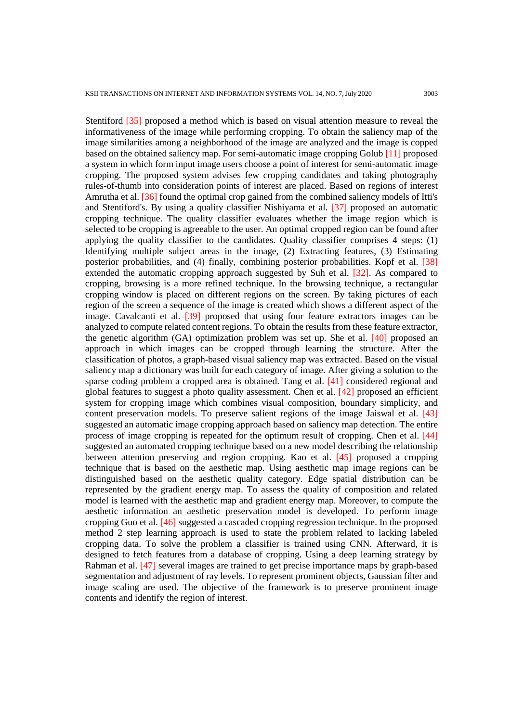Stentiford [35] proposed a method which is based on visual attention measure to reveal the informativeness of the image while performing cropping. To obtain the saliency map of the image similarities among a neighborhood of the image are analyzed and the image is copped based on the obtained saliency map. For semi-automatic image cropping Golub [11] proposed a system in which form input image users choose a point of interest for semi-automatic image cropping. The proposed system advises few cropping candidates and taking photography rules-of-thumb into consideration points of interest are placed. Based on regions of interest Amrutha et al. [36] found the optimal crop gained from the combined saliency models of Itti's and Stentiford's. By using a quality classifier Nishiyama et al. [37] proposed an automatic cropping technique. The quality classifier evaluates whether the image region which is selected to be cropping is agreeable to the user. An optimal cropped region can be found after applying the quality classifier to the candidates. Quality classifier comprises 4 steps: (1) Identifying multiple subject areas in the image, (2) Extracting features, (3) Estimating posterior probabilities, and (4) finally, combining posterior probabilities. Kopf et al. [38] extended the automatic cropping approach suggested by Suh et al. [32]. As compared to cropping, browsing is a more refined technique. In the browsing technique, a rectangular cropping window is placed on different regions on the screen. By taking pictures of each region of the screen a sequence of the image is created which shows a different aspect of the image. Cavalcanti et al. [39] proposed that using four feature extractors images can be analyzed to compute related content regions. To obtain the results from these feature extractor, the genetic algorithm (GA) optimization problem was set up. She et al. [40] proposed an approach in which images can be cropped through learning the structure. After the classification of photos, a graph-based visual saliency map was extracted. Based on the visual saliency map a dictionary was built for each category of image. After giving a solution to the sparse coding problem a cropped area is obtained. Tang et al. [41] considered regional and global features to suggest a photo quality assessment. Chen et al. [42] proposed an efficient system for cropping image which combines visual composition, boundary simplicity, and content preservation models. To preserve salient regions of the image Jaiswal et al. [43] suggested an automatic image cropping approach based on saliency map detection. The entire process of image cropping is repeated for the optimum result of cropping. Chen et al. [44] suggested an automated cropping technique based on a new model describing the relationship between attention preserving and region cropping. Kao et al. [45] proposed a cropping technique that is based on the aesthetic map. Using aesthetic map image regions can be distinguished based on the aesthetic quality category. Edge spatial distribution can be represented by the gradient energy map. To assess the quality of composition and related model is learned with the aesthetic map and gradient energy map. Moreover, to compute the aesthetic information an aesthetic preservation model is developed. To perform image cropping Guo et al. [46] suggested a cascaded cropping regression technique. In the proposed method 2 step learning approach is used to state the problem related to lacking labeled cropping data. To solve the problem a classifier is trained using CNN. Afterward, it is designed to fetch features from a database of cropping. Using a deep learning strategy by Rahman et al. [47] several images are trained to get precise importance maps by graph-based segmentation and adjustment of ray levels. To represent prominent objects, Gaussian filter and image scaling are used. The objective of the framework is to preserve prominent image contents and identify the region of interest.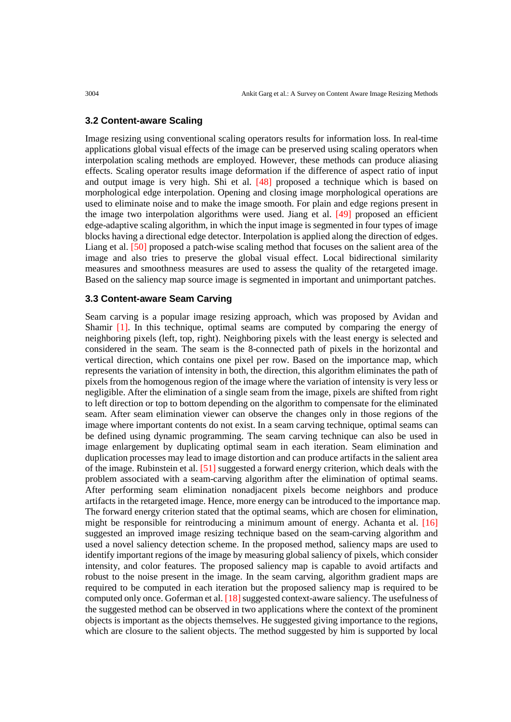# **3.2 Content-aware Scaling**

Image resizing using conventional scaling operators results for information loss. In real-time applications global visual effects of the image can be preserved using scaling operators when interpolation scaling methods are employed. However, these methods can produce aliasing effects. Scaling operator results image deformation if the difference of aspect ratio of input and output image is very high. Shi et al. [48] proposed a technique which is based on morphological edge interpolation. Opening and closing image morphological operations are used to eliminate noise and to make the image smooth. For plain and edge regions present in the image two interpolation algorithms were used. Jiang et al. [49] proposed an efficient edge-adaptive scaling algorithm, in which the input image is segmented in four types of image blocks having a directional edge detector. Interpolation is applied along the direction of edges. Liang et al. [50] proposed a patch-wise scaling method that focuses on the salient area of the image and also tries to preserve the global visual effect. Local bidirectional similarity measures and smoothness measures are used to assess the quality of the retargeted image. Based on the saliency map source image is segmented in important and unimportant patches.

## **3.3 Content-aware Seam Carving**

Seam carving is a popular image resizing approach, which was proposed by Avidan and Shamir [1]. In this technique, optimal seams are computed by comparing the energy of neighboring pixels (left, top, right). Neighboring pixels with the least energy is selected and considered in the seam. The seam is the 8-connected path of pixels in the horizontal and vertical direction, which contains one pixel per row. Based on the importance map, which represents the variation of intensity in both, the direction, this algorithm eliminates the path of pixels from the homogenous region of the image where the variation of intensity is very less or negligible. After the elimination of a single seam from the image, pixels are shifted from right to left direction or top to bottom depending on the algorithm to compensate for the eliminated seam. After seam elimination viewer can observe the changes only in those regions of the image where important contents do not exist. In a seam carving technique, optimal seams can be defined using dynamic programming. The seam carving technique can also be used in image enlargement by duplicating optimal seam in each iteration. Seam elimination and duplication processes may lead to image distortion and can produce artifacts in the salient area of the image. Rubinstein et al. [51] suggested a forward energy criterion, which deals with the problem associated with a seam-carving algorithm after the elimination of optimal seams. After performing seam elimination nonadjacent pixels become neighbors and produce artifacts in the retargeted image. Hence, more energy can be introduced to the importance map. The forward energy criterion stated that the optimal seams, which are chosen for elimination, might be responsible for reintroducing a minimum amount of energy. Achanta et al. [16] suggested an improved image resizing technique based on the seam-carving algorithm and used a novel saliency detection scheme. In the proposed method, saliency maps are used to identify important regions of the image by measuring global saliency of pixels, which consider intensity, and color features. The proposed saliency map is capable to avoid artifacts and robust to the noise present in the image. In the seam carving, algorithm gradient maps are required to be computed in each iteration but the proposed saliency map is required to be computed only once. Goferman et al. [18] suggested context-aware saliency. The usefulness of the suggested method can be observed in two applications where the context of the prominent objects is important as the objects themselves. He suggested giving importance to the regions, which are closure to the salient objects. The method suggested by him is supported by local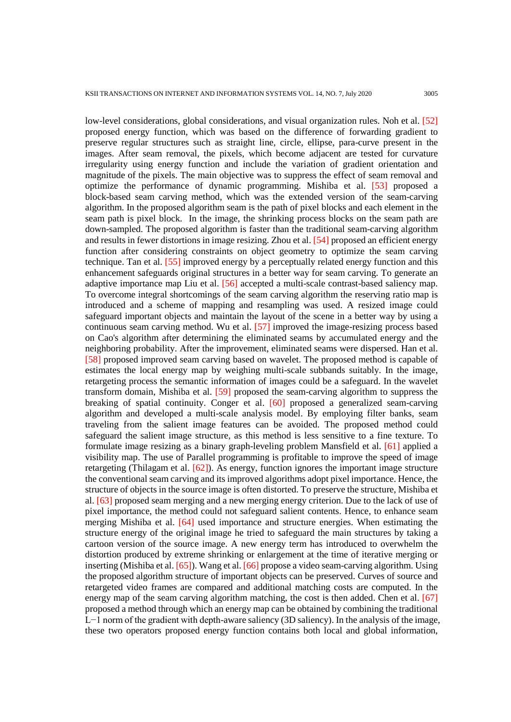low-level considerations, global considerations, and visual organization rules. Noh et al. [52] proposed energy function, which was based on the difference of forwarding gradient to preserve regular structures such as straight line, circle, ellipse, para-curve present in the images. After seam removal, the pixels, which become adjacent are tested for curvature irregularity using energy function and include the variation of gradient orientation and magnitude of the pixels. The main objective was to suppress the effect of seam removal and optimize the performance of dynamic programming. Mishiba et al. [53] proposed a block-based seam carving method, which was the extended version of the seam-carving algorithm. In the proposed algorithm seam is the path of pixel blocks and each element in the seam path is pixel block. In the image, the shrinking process blocks on the seam path are down-sampled. The proposed algorithm is faster than the traditional seam-carving algorithm and results in fewer distortions in image resizing. Zhou et al. [54] proposed an efficient energy function after considering constraints on object geometry to optimize the seam carving technique. Tan et al. [55] improved energy by a perceptually related energy function and this enhancement safeguards original structures in a better way for seam carving. To generate an adaptive importance map Liu et al. [56] accepted a multi-scale contrast-based saliency map. To overcome integral shortcomings of the seam carving algorithm the reserving ratio map is introduced and a scheme of mapping and resampling was used. A resized image could safeguard important objects and maintain the layout of the scene in a better way by using a continuous seam carving method. Wu et al. [57] improved the image-resizing process based on Cao's algorithm after determining the eliminated seams by accumulated energy and the neighboring probability. After the improvement, eliminated seams were dispersed. Han et al. [58] proposed improved seam carving based on wavelet. The proposed method is capable of estimates the local energy map by weighing multi-scale subbands suitably. In the image, retargeting process the semantic information of images could be a safeguard. In the wavelet transform domain, Mishiba et al. [59] proposed the seam-carving algorithm to suppress the breaking of spatial continuity. Conger et al. [60] proposed a generalized seam-carving algorithm and developed a multi-scale analysis model. By employing filter banks, seam traveling from the salient image features can be avoided. The proposed method could safeguard the salient image structure, as this method is less sensitive to a fine texture. To formulate image resizing as a binary graph-leveling problem Mansfield et al. [61] applied a visibility map. The use of Parallel programming is profitable to improve the speed of image retargeting (Thilagam et al. [62]). As energy, function ignores the important image structure the conventional seam carving and its improved algorithms adopt pixel importance. Hence, the structure of objects in the source image is often distorted. To preserve the structure, Mishiba et al. [63] proposed seam merging and a new merging energy criterion. Due to the lack of use of pixel importance, the method could not safeguard salient contents. Hence, to enhance seam merging Mishiba et al. [64] used importance and structure energies. When estimating the structure energy of the original image he tried to safeguard the main structures by taking a cartoon version of the source image. A new energy term has introduced to overwhelm the distortion produced by extreme shrinking or enlargement at the time of iterative merging or inserting (Mishiba et al. [65]). Wang et al. [66] propose a video seam-carving algorithm. Using the proposed algorithm structure of important objects can be preserved. Curves of source and retargeted video frames are compared and additional matching costs are computed. In the energy map of the seam carving algorithm matching, the cost is then added. Chen et al. [67] proposed a method through which an energy map can be obtained by combining the traditional L−1 norm of the gradient with depth-aware saliency (3D saliency). In the analysis of the image, these two operators proposed energy function contains both local and global information,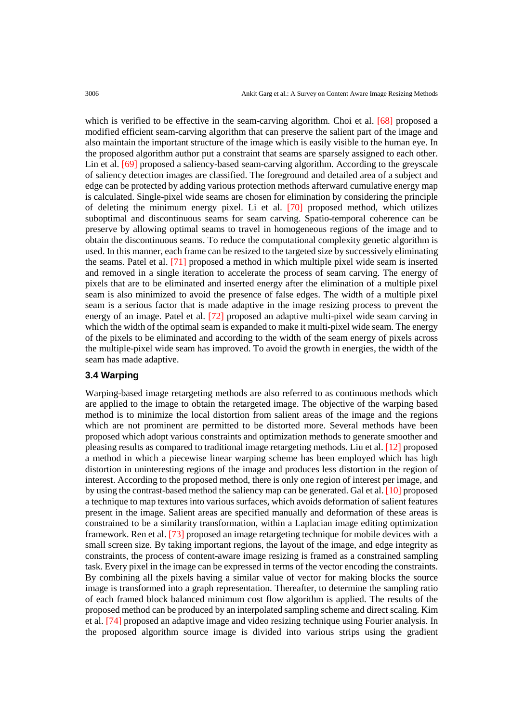which is verified to be effective in the seam-carving algorithm. Choi et al. [68] proposed a modified efficient seam-carving algorithm that can preserve the salient part of the image and also maintain the important structure of the image which is easily visible to the human eye. In the proposed algorithm author put a constraint that seams are sparsely assigned to each other. Lin et al. [69] proposed a saliency-based seam-carving algorithm. According to the greyscale of saliency detection images are classified. The foreground and detailed area of a subject and edge can be protected by adding various protection methods afterward cumulative energy map is calculated. Single-pixel wide seams are chosen for elimination by considering the principle of deleting the minimum energy pixel. Li et al. [70] proposed method, which utilizes suboptimal and discontinuous seams for seam carving. Spatio-temporal coherence can be preserve by allowing optimal seams to travel in homogeneous regions of the image and to obtain the discontinuous seams. To reduce the computational complexity genetic algorithm is used. In this manner, each frame can be resized to the targeted size by successively eliminating the seams. Patel et al. [71] proposed a method in which multiple pixel wide seam is inserted and removed in a single iteration to accelerate the process of seam carving. The energy of pixels that are to be eliminated and inserted energy after the elimination of a multiple pixel seam is also minimized to avoid the presence of false edges. The width of a multiple pixel seam is a serious factor that is made adaptive in the image resizing process to prevent the energy of an image. Patel et al. [72] proposed an adaptive multi-pixel wide seam carving in which the width of the optimal seam is expanded to make it multi-pixel wide seam. The energy of the pixels to be eliminated and according to the width of the seam energy of pixels across the multiple-pixel wide seam has improved. To avoid the growth in energies, the width of the seam has made adaptive.

# **3.4 Warping**

Warping-based image retargeting methods are also referred to as continuous methods which are applied to the image to obtain the retargeted image. The objective of the warping based method is to minimize the local distortion from salient areas of the image and the regions which are not prominent are permitted to be distorted more. Several methods have been proposed which adopt various constraints and optimization methods to generate smoother and pleasing results as compared to traditional image retargeting methods. Liu et al. [12] proposed a method in which a piecewise linear warping scheme has been employed which has high distortion in uninteresting regions of the image and produces less distortion in the region of interest. According to the proposed method, there is only one region of interest per image, and by using the contrast-based method the saliency map can be generated. Gal et al. [10] proposed a technique to map textures into various surfaces, which avoids deformation of salient features present in the image. Salient areas are specified manually and deformation of these areas is constrained to be a similarity transformation, within a Laplacian image editing optimization framework. Ren et al. [73] proposed an image retargeting technique for mobile devices with a small screen size. By taking important regions, the layout of the image, and edge integrity as constraints, the process of content-aware image resizing is framed as a constrained sampling task. Every pixel in the image can be expressed in terms of the vector encoding the constraints. By combining all the pixels having a similar value of vector for making blocks the source image is transformed into a graph representation. Thereafter, to determine the sampling ratio of each framed block balanced minimum cost flow algorithm is applied. The results of the proposed method can be produced by an interpolated sampling scheme and direct scaling. Kim et al. [74] proposed an adaptive image and video resizing technique using Fourier analysis. In the proposed algorithm source image is divided into various strips using the gradient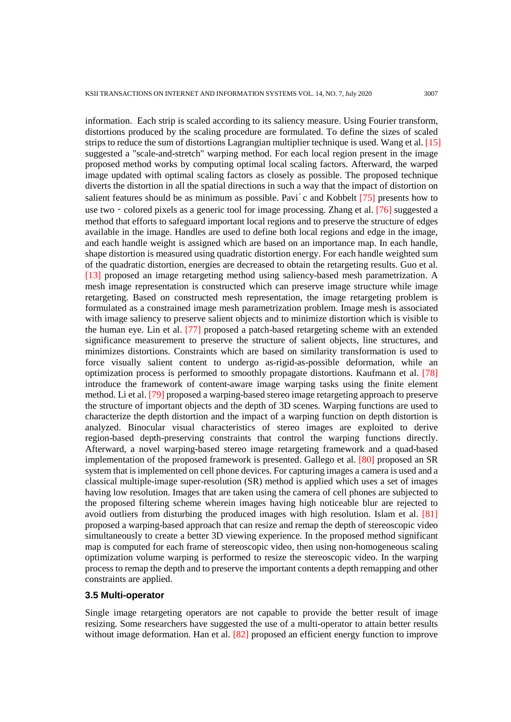information. Each strip is scaled according to its saliency measure. Using Fourier transform, distortions produced by the scaling procedure are formulated. To define the sizes of scaled strips to reduce the sum of distortions Lagrangian multiplier technique is used. Wang et al. [15] suggested a "scale-and-stretch" warping method. For each local region present in the image proposed method works by computing optimal local scaling factors. Afterward, the warped image updated with optimal scaling factors as closely as possible. The proposed technique diverts the distortion in all the spatial directions in such a way that the impact of distortion on salient features should be as minimum as possible. Pavi'c and Kobbelt [75] presents how to use two – colored pixels as a generic tool for image processing. Zhang et al. [76] suggested a method that efforts to safeguard important local regions and to preserve the structure of edges available in the image. Handles are used to define both local regions and edge in the image, and each handle weight is assigned which are based on an importance map. In each handle, shape distortion is measured using quadratic distortion energy. For each handle weighted sum of the quadratic distortion, energies are decreased to obtain the retargeting results. Guo et al. [13] proposed an image retargeting method using saliency-based mesh parametrization. A mesh image representation is constructed which can preserve image structure while image retargeting. Based on constructed mesh representation, the image retargeting problem is formulated as a constrained image mesh parametrization problem. Image mesh is associated with image saliency to preserve salient objects and to minimize distortion which is visible to the human eye. Lin et al. [77] proposed a patch-based retargeting scheme with an extended significance measurement to preserve the structure of salient objects, line structures, and minimizes distortions. Constraints which are based on similarity transformation is used to force visually salient content to undergo as-rigid-as-possible deformation, while an optimization process is performed to smoothly propagate distortions. Kaufmann et al. [78] introduce the framework of content-aware image warping tasks using the finite element method. Li et al. [79] proposed a warping-based stereo image retargeting approach to preserve the structure of important objects and the depth of 3D scenes. Warping functions are used to characterize the depth distortion and the impact of a warping function on depth distortion is analyzed. Binocular visual characteristics of stereo images are exploited to derive region-based depth-preserving constraints that control the warping functions directly. Afterward, a novel warping-based stereo image retargeting framework and a quad-based implementation of the proposed framework is presented. Gallego et al. [80] proposed an SR system that is implemented on cell phone devices. For capturing images a camera is used and a classical multiple-image super-resolution (SR) method is applied which uses a set of images having low resolution. Images that are taken using the camera of cell phones are subjected to the proposed filtering scheme wherein images having high noticeable blur are rejected to avoid outliers from disturbing the produced images with high resolution. Islam et al. [81] proposed a warping-based approach that can resize and remap the depth of stereoscopic video simultaneously to create a better 3D viewing experience. In the proposed method significant map is computed for each frame of stereoscopic video, then using non-homogeneous scaling optimization volume warping is performed to resize the stereoscopic video. In the warping process to remap the depth and to preserve the important contents a depth remapping and other constraints are applied.

## **3.5 Multi-operator**

Single image retargeting operators are not capable to provide the better result of image resizing. Some researchers have suggested the use of a multi-operator to attain better results without image deformation. Han et al. [82] proposed an efficient energy function to improve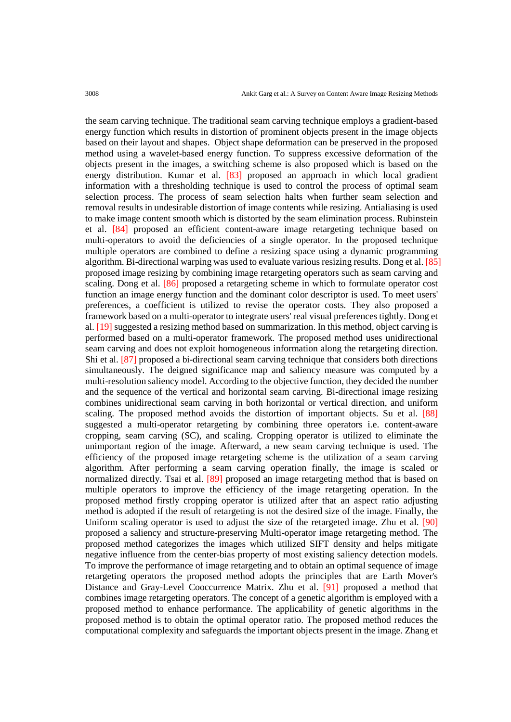the seam carving technique. The traditional seam carving technique employs a gradient-based energy function which results in distortion of prominent objects present in the image objects based on their layout and shapes. Object shape deformation can be preserved in the proposed method using a wavelet-based energy function. To suppress excessive deformation of the objects present in the images, a switching scheme is also proposed which is based on the energy distribution. Kumar et al. [83] proposed an approach in which local gradient information with a thresholding technique is used to control the process of optimal seam selection process. The process of seam selection halts when further seam selection and removal results in undesirable distortion of image contents while resizing. Antialiasing is used to make image content smooth which is distorted by the seam elimination process. Rubinstein et al. [84] proposed an efficient content-aware image retargeting technique based on multi-operators to avoid the deficiencies of a single operator. In the proposed technique multiple operators are combined to define a resizing space using a dynamic programming algorithm. Bi-directional warping was used to evaluate various resizing results. Dong et al. [85] proposed image resizing by combining image retargeting operators such as seam carving and scaling. Dong et al. [86] proposed a retargeting scheme in which to formulate operator cost function an image energy function and the dominant color descriptor is used. To meet users' preferences, a coefficient is utilized to revise the operator costs. They also proposed a framework based on a multi-operator to integrate users' real visual preferences tightly. Dong et al. [19] suggested a resizing method based on summarization. In this method, object carving is performed based on a multi-operator framework. The proposed method uses unidirectional seam carving and does not exploit homogeneous information along the retargeting direction. Shi et al. [87] proposed a bi-directional seam carving technique that considers both directions simultaneously. The deigned significance map and saliency measure was computed by a multi-resolution saliency model. According to the objective function, they decided the number and the sequence of the vertical and horizontal seam carving. Bi-directional image resizing combines unidirectional seam carving in both horizontal or vertical direction, and uniform scaling. The proposed method avoids the distortion of important objects. Su et al. [88] suggested a multi-operator retargeting by combining three operators i.e. content-aware cropping, seam carving (SC), and scaling. Cropping operator is utilized to eliminate the unimportant region of the image. Afterward, a new seam carving technique is used. The efficiency of the proposed image retargeting scheme is the utilization of a seam carving algorithm. After performing a seam carving operation finally, the image is scaled or normalized directly. Tsai et al. [89] proposed an image retargeting method that is based on multiple operators to improve the efficiency of the image retargeting operation. In the proposed method firstly cropping operator is utilized after that an aspect ratio adjusting method is adopted if the result of retargeting is not the desired size of the image. Finally, the Uniform scaling operator is used to adjust the size of the retargeted image. Zhu et al. [90] proposed a saliency and structure-preserving Multi-operator image retargeting method. The proposed method categorizes the images which utilized SIFT density and helps mitigate negative influence from the center-bias property of most existing saliency detection models. To improve the performance of image retargeting and to obtain an optimal sequence of image retargeting operators the proposed method adopts the principles that are Earth Mover's Distance and Gray-Level Cooccurrence Matrix. Zhu et al. [91] proposed a method that combines image retargeting operators. The concept of a genetic algorithm is employed with a proposed method to enhance performance. The applicability of genetic algorithms in the proposed method is to obtain the optimal operator ratio. The proposed method reduces the computational complexity and safeguards the important objects present in the image. Zhang et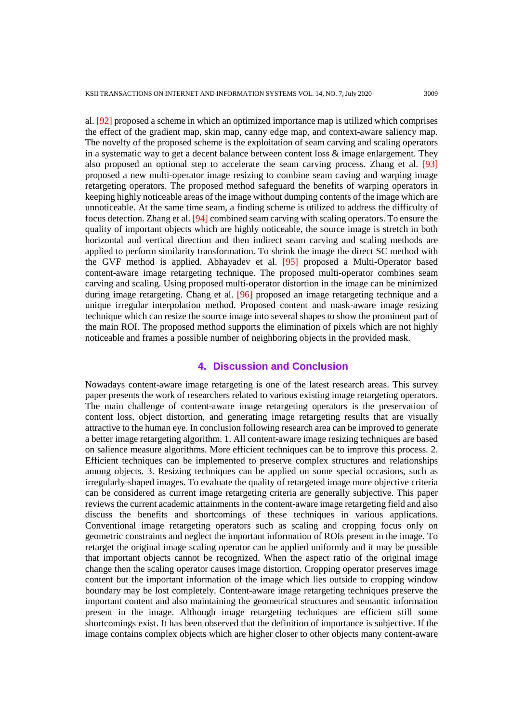al. [92] proposed a scheme in which an optimized importance map is utilized which comprises the effect of the gradient map, skin map, canny edge map, and context-aware saliency map. The novelty of the proposed scheme is the exploitation of seam carving and scaling operators in a systematic way to get a decent balance between content loss  $\&$  image enlargement. They also proposed an optional step to accelerate the seam carving process. Zhang et al. [93] proposed a new multi-operator image resizing to combine seam caving and warping image retargeting operators. The proposed method safeguard the benefits of warping operators in keeping highly noticeable areas of the image without dumping contents of the image which are unnoticeable. At the same time seam, a finding scheme is utilized to address the difficulty of focus detection. Zhang et al. [94] combined seam carving with scaling operators. To ensure the quality of important objects which are highly noticeable, the source image is stretch in both horizontal and vertical direction and then indirect seam carving and scaling methods are applied to perform similarity transformation. To shrink the image the direct SC method with the GVF method is applied. Abhayadev et al. [95] proposed a Multi-Operator based content-aware image retargeting technique. The proposed multi-operator combines seam carving and scaling. Using proposed multi-operator distortion in the image can be minimized during image retargeting. Chang et al. [96] proposed an image retargeting technique and a unique irregular interpolation method. Proposed content and mask-aware image resizing technique which can resize the source image into several shapes to show the prominent part of the main ROI. The proposed method supports the elimination of pixels which are not highly noticeable and frames a possible number of neighboring objects in the provided mask.

### **4. Discussion and Conclusion**

Nowadays content-aware image retargeting is one of the latest research areas. This survey paper presents the work of researchers related to various existing image retargeting operators. The main challenge of content-aware image retargeting operators is the preservation of content loss, object distortion, and generating image retargeting results that are visually attractive to the human eye. In conclusion following research area can be improved to generate a better image retargeting algorithm. 1. All content-aware image resizing techniques are based on salience measure algorithms. More efficient techniques can be to improve this process. 2. Efficient techniques can be implemented to preserve complex structures and relationships among objects. 3. Resizing techniques can be applied on some special occasions, such as irregularly-shaped images. To evaluate the quality of retargeted image more objective criteria can be considered as current image retargeting criteria are generally subjective. This paper reviews the current academic attainments in the content-aware image retargeting field and also discuss the benefits and shortcomings of these techniques in various applications. Conventional image retargeting operators such as scaling and cropping focus only on geometric constraints and neglect the important information of ROIs present in the image. To retarget the original image scaling operator can be applied uniformly and it may be possible that important objects cannot be recognized. When the aspect ratio of the original image change then the scaling operator causes image distortion. Cropping operator preserves image content but the important information of the image which lies outside to cropping window boundary may be lost completely. Content-aware image retargeting techniques preserve the important content and also maintaining the geometrical structures and semantic information present in the image. Although image retargeting techniques are efficient still some shortcomings exist. It has been observed that the definition of importance is subjective. If the image contains complex objects which are higher closer to other objects many content-aware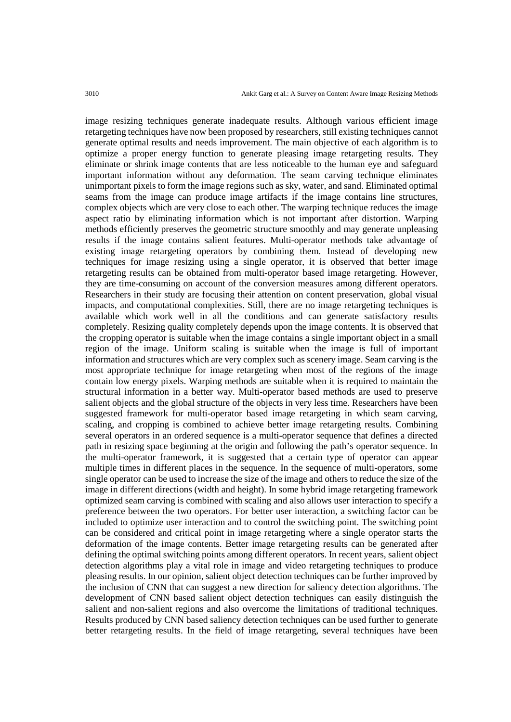image resizing techniques generate inadequate results. Although various efficient image retargeting techniques have now been proposed by researchers, still existing techniques cannot generate optimal results and needs improvement. The main objective of each algorithm is to optimize a proper energy function to generate pleasing image retargeting results. They eliminate or shrink image contents that are less noticeable to the human eye and safeguard important information without any deformation. The seam carving technique eliminates unimportant pixels to form the image regions such as sky, water, and sand. Eliminated optimal seams from the image can produce image artifacts if the image contains line structures, complex objects which are very close to each other. The warping technique reduces the image aspect ratio by eliminating information which is not important after distortion. Warping methods efficiently preserves the geometric structure smoothly and may generate unpleasing results if the image contains salient features. Multi-operator methods take advantage of existing image retargeting operators by combining them. Instead of developing new techniques for image resizing using a single operator, it is observed that better image retargeting results can be obtained from multi-operator based image retargeting. However, they are time-consuming on account of the conversion measures among different operators. Researchers in their study are focusing their attention on content preservation, global visual impacts, and computational complexities. Still, there are no image retargeting techniques is available which work well in all the conditions and can generate satisfactory results completely. Resizing quality completely depends upon the image contents. It is observed that the cropping operator is suitable when the image contains a single important object in a small region of the image. Uniform scaling is suitable when the image is full of important information and structures which are very complex such as scenery image. Seam carving is the most appropriate technique for image retargeting when most of the regions of the image contain low energy pixels. Warping methods are suitable when it is required to maintain the structural information in a better way. Multi-operator based methods are used to preserve salient objects and the global structure of the objects in very less time. Researchers have been suggested framework for multi-operator based image retargeting in which seam carving, scaling, and cropping is combined to achieve better image retargeting results. Combining several operators in an ordered sequence is a multi-operator sequence that defines a directed path in resizing space beginning at the origin and following the path's operator sequence. In the multi-operator framework, it is suggested that a certain type of operator can appear multiple times in different places in the sequence. In the sequence of multi-operators, some single operator can be used to increase the size of the image and others to reduce the size of the image in different directions (width and height). In some hybrid image retargeting framework optimized seam carving is combined with scaling and also allows user interaction to specify a preference between the two operators. For better user interaction, a switching factor can be included to optimize user interaction and to control the switching point. The switching point can be considered and critical point in image retargeting where a single operator starts the deformation of the image contents. Better image retargeting results can be generated after defining the optimal switching points among different operators. In recent years, salient object detection algorithms play a vital role in image and video retargeting techniques to produce pleasing results. In our opinion, salient object detection techniques can be further improved by the inclusion of CNN that can suggest a new direction for saliency detection algorithms. The development of CNN based salient object detection techniques can easily distinguish the salient and non-salient regions and also overcome the limitations of traditional techniques. Results produced by CNN based saliency detection techniques can be used further to generate better retargeting results. In the field of image retargeting, several techniques have been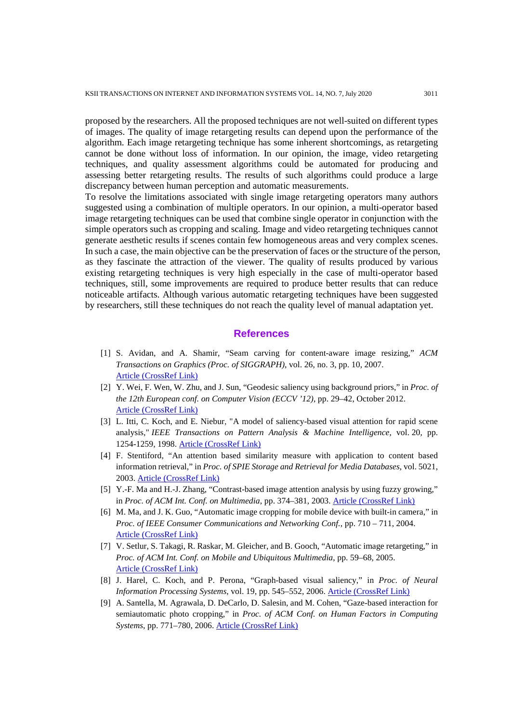proposed by the researchers. All the proposed techniques are not well-suited on different types of images. The quality of image retargeting results can depend upon the performance of the algorithm. Each image retargeting technique has some inherent shortcomings, as retargeting cannot be done without loss of information. In our opinion, the image, video retargeting techniques, and quality assessment algorithms could be automated for producing and assessing better retargeting results. The results of such algorithms could produce a large discrepancy between human perception and automatic measurements.

To resolve the limitations associated with single image retargeting operators many authors suggested using a combination of multiple operators. In our opinion, a multi-operator based image retargeting techniques can be used that combine single operator in conjunction with the simple operators such as cropping and scaling. Image and video retargeting techniques cannot generate aesthetic results if scenes contain few homogeneous areas and very complex scenes. In such a case, the main objective can be the preservation of faces or the structure of the person, as they fascinate the attraction of the viewer. The quality of results produced by various existing retargeting techniques is very high especially in the case of multi-operator based techniques, still, some improvements are required to produce better results that can reduce noticeable artifacts. Although various automatic retargeting techniques have been suggested by researchers, still these techniques do not reach the quality level of manual adaptation yet.

## **References**

- [1] S. Avidan, and A. Shamir, "Seam carving for content-aware image resizing," *ACM Transactions on Graphics (Proc. of SIGGRAPH)*, vol. 26, no. 3, pp. 10, 2007. [Article \(CrossRef Link\)](https://doi.org/10.1145/1276377.1276390)
- [2] Y. Wei, F. Wen, W. Zhu, and J. Sun, "Geodesic saliency using background priors," in *Proc. of the 12th European conf. on Computer Vision (ECCV '12)*, pp. 29–42, October 2012. [Article \(CrossRef Link\)](https://doi.org/10.1007/978-3-642-33712-3_3)
- [3] L. Itti, C. Koch, and E. Niebur, "A model of saliency-based visual attention for rapid scene analysis," *IEEE Transactions on Pattern Analysis & Machine Intelligence*, vol. 20, pp. 1254-1259, 1998. [Article \(CrossRef Link\)](https://doi.org/10.1109/34.730558)
- [4] F. Stentiford, "An attention based similarity measure with application to content based information retrieval," in *Proc. of SPIE Storage and Retrieval for Media Databases*, vol. 5021, 2003. [Article \(CrossRef Link\)](https://doi.org/10.1117/12.476255)
- [5] Y.-F. Ma and H.-J. Zhang, "Contrast-based image attention analysis by using fuzzy growing," in *Proc. of ACM Int. Conf. on Multimedia*, pp. 374–381, 2003. [Article \(CrossRef Link\)](https://doi.org/10.1145/957013.957094)
- [6] M. Ma, and J. K. Guo, "Automatic image cropping for mobile device with built-in camera," in *Proc. of IEEE Consumer Communications and Networking Conf.*, pp. 710 – 711, 2004. [Article \(CrossRef Link\)](https://doi.org/10.1109/CCNC.2004.1286964)
- [7] V. Setlur, S. Takagi, R. Raskar, M. Gleicher, and B. Gooch, "Automatic image retargeting," in *Proc. of ACM Int. Conf. on Mobile and Ubiquitous Multimedia*, pp. 59–68, 2005. [Article \(CrossRef Link\)](https://doi.org/10.1145/1149488.1149499)
- [8] J. Harel, C. Koch, and P. Perona, "Graph-based visual saliency," in *Proc. of Neural Information Processing Systems*, vol. 19, pp. 545–552, 2006. [Article \(CrossRef Link\)](https://dl.acm.org/doi/10.5555/2976456.2976525)
- [9] A. Santella, M. Agrawala, D. DeCarlo, D. Salesin, and M. Cohen, "Gaze-based interaction for semiautomatic photo cropping," in *Proc. of ACM Conf. on Human Factors in Computing Systems*, pp. 771–780, 2006. [Article \(CrossRef Link\)](https://doi.org/10.1145/1124772.1124886)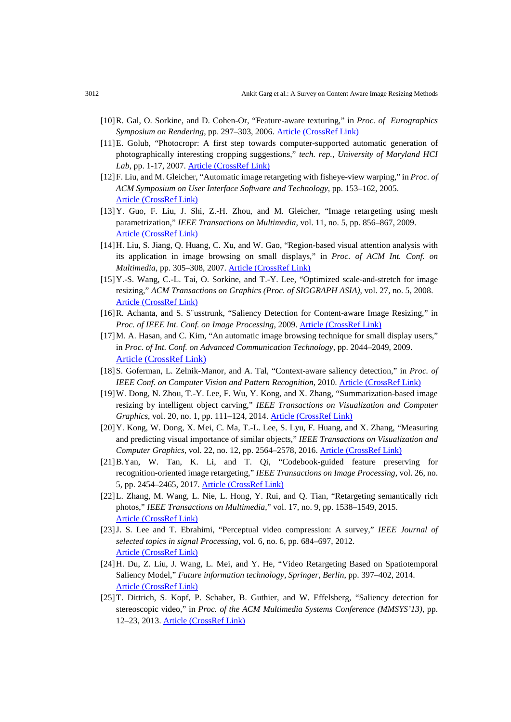- [10]R. Gal, O. Sorkine, and D. Cohen-Or, "Feature-aware texturing," in *Proc. of Eurographics Symposium on Rendering*, pp. 297–303, 2006. Article [\(CrossRef](http://dx.doi.org/10.2312/EGWR/EGSR06/297-303) Link)
- [11]E. Golub, "Photocropr: A first step towards computer-supported automatic generation of photographically interesting cropping suggestions," *tech. rep., University of Maryland HCI Lab*, pp. 1-17, 2007. [Article \(CrossRef Link\)](http://www.cs.umd.edu/hcil/trs/2007-12/2007-12.pdf)
- [12]F. Liu, and M. Gleicher, "Automatic image retargeting with fisheye-view warping," in *Proc. of ACM Symposium on User Interface Software and Technology*, pp. 153–162, 2005. [Article \(CrossRef Link\)](https://doi.org/10.1145/1095034.1095061)
- [13]Y. Guo, F. Liu, J. Shi, Z.-H. Zhou, and M. Gleicher, "Image retargeting using mesh parametrization," *IEEE Transactions on Multimedia*, vol. 11, no. 5, pp. 856–867, 2009. [Article \(CrossRef Link\)](https://doi.org/10.1109/TMM.2009.2021781)
- [14]H. Liu, S. Jiang, Q. Huang, C. Xu, and W. Gao, "Region-based visual attention analysis with its application in image browsing on small displays," in *Proc. of ACM Int. Conf. on Multimedia*, pp. 305–308, 2007. [Article \(CrossRef Link\)](https://doi.org/10.1145/1291233.1291298)
- [15]Y.-S. Wang, C.-L. Tai, O. Sorkine, and T.-Y. Lee, "Optimized scale-and-stretch for image resizing," *ACM Transactions on Graphics (Proc. of SIGGRAPH ASIA)*, vol. 27, no. 5, 2008. [Article \(CrossRef Link\)](https://doi.org/10.1145/1409060.1409071)
- [16]R. Achanta, and S. S¨usstrunk, "Saliency Detection for Content-aware Image Resizing," in *Proc. of IEEE Int. Conf. on Image Processing*, 2009. [Article \(CrossRef Link\)](https://doi.org/10.1109/ICIP.2009.5413815)
- [17]M. A. Hasan, and C. Kim, "An automatic image browsing technique for small display users," in *Proc. of Int. Conf. on Advanced Communication Technology*, pp. 2044–2049, 2009. [Article \(CrossRef Link\)](https://ieeexplore.ieee.org/document/4809483)
- [18]S. Goferman, L. Zelnik-Manor, and A. Tal, "Context-aware saliency detection," in *Proc. of IEEE Conf. on Computer Vision and Pattern Recognition*, 2010. [Article \(CrossRef Link\)](https://doi.org/10.1109/CVPR.2010.5539929)
- [19]W. Dong, N. Zhou, T.-Y. Lee, F. Wu, Y. Kong, and X. Zhang, "Summarization-based image resizing by intelligent object carving," *IEEE Transactions on Visualization and Computer Graphics*, vol. 20, no. 1, pp. 111–124, 2014. [Article \(CrossRef Link\)](https://doi.org/10.1109/TVCG.2013.103)
- [20]Y. Kong, W. Dong, X. Mei, C. Ma, T.-L. Lee, S. Lyu, F. Huang, and X. Zhang, "Measuring and predicting visual importance of similar objects," *IEEE Transactions on Visualization and Computer Graphics*, vol. 22, no. 12, pp. 2564–2578, 2016. [Article \(CrossRef Link\)](https://doi.org/10.1109/TVCG.2016.2515614)
- [21]B.Yan, W. Tan, K. Li, and T. Qi, "Codebook-guided feature preserving for recognition-oriented image retargeting," *IEEE Transactions on Image Processing*, vol. 26, no. 5, pp. 2454–2465, 2017. [Article \(CrossRef Link\)](https://doi.org/10.1109/TIP.2017.2681840)
- [22]L. Zhang, M. Wang, L. Nie, L. Hong, Y. Rui, and Q. Tian, "Retargeting semantically rich photos," *IEEE Transactions on Multimedia*," vol. 17, no. 9, pp. 1538–1549, 2015. [Article \(CrossRef Link\)](https://doi.org/10.1109/TMM.2015.2451954)
- [23]J. S. Lee and T. Ebrahimi, "Perceptual video compression: A survey," *IEEE Journal of selected topics in signal Processing*, vol. 6, no. 6, pp. 684–697, 2012. [Article \(CrossRef Link\)](https://doi.org/10.1109/JSTSP.2012.2215006)
- [24]H. Du, Z. Liu, J. Wang, L. Mei, and Y. He, "Video Retargeting Based on Spatiotemporal Saliency Model," *Future information technology, Springer, Berlin*, pp. 397–402, 2014. [Article \(CrossRef Link\)](https://doi.org/10.1007/978-3-642-55038-6_61)
- [25]T. Dittrich, S. Kopf, P. Schaber, B. Guthier, and W. Effelsberg, "Saliency detection for stereoscopic video," in *Proc. of the ACM Multimedia Systems Conference (MMSYS'13)*, pp. 12–23, 2013. [Article \(CrossRef Link\)](https://doi.org/10.1145/2483977.2483979)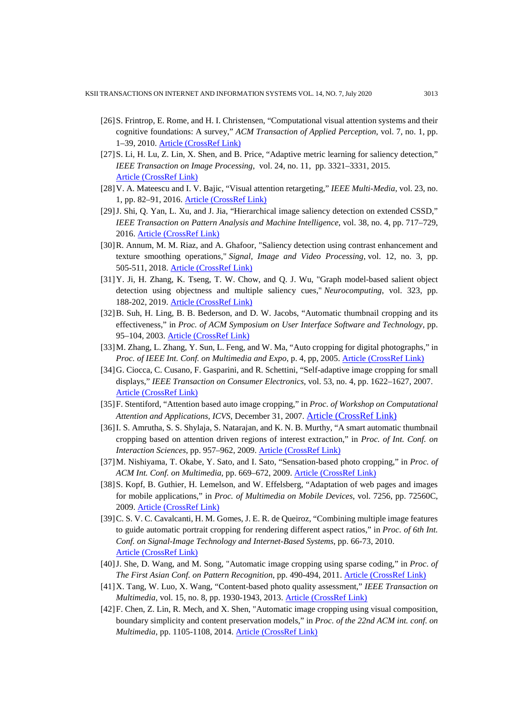- [26]S. Frintrop, E. Rome, and H. I. Christensen, "Computational visual attention systems and their cognitive foundations: A survey," *ACM Transaction of Applied Perception*, vol. 7, no. 1, pp. 1–39, 2010. [Article \(CrossRef Link\)](https://doi.org/10.1145/1658349.1658355)
- [27]S. Li, H. Lu, Z. Lin, X. Shen, and B. Price, "Adaptive metric learning for saliency detection," *IEEE Transaction on Image Processing*, vol. 24, no. 11, pp. 3321–3331, 2015. [Article \(CrossRef Link\)](https://doi.org/10.1109/TIP.2015.2440755)
- [28]V. A. Mateescu and I. V. Bajic, "Visual attention retargeting," *IEEE Multi-Media*, vol. 23, no. 1, pp. 82–91, 2016. [Article \(CrossRef Link\)](https://doi.org/10.1109/MMUL.2015.59)
- [29]J. Shi, Q. Yan, L. Xu, and J. Jia, "Hierarchical image saliency detection on extended CSSD," *IEEE Transaction on Pattern Analysis and Machine Intelligence*, vol. 38, no. 4, pp. 717–729, 2016. [Article \(CrossRef Link\)](https://doi.org/10.1109/TPAMI.2015.2465960)
- [30]R. Annum, M. M. Riaz, and A. Ghafoor, "Saliency detection using contrast enhancement and texture smoothing operations," *Signal, Image and Video Processing*, vol. 12, no. 3, pp. 505-511, 2018. [Article \(CrossRef Link\)](https://doi.org/10.1007/s11760-017-1186-4)
- [31]Y. Ji, H. Zhang, K. Tseng, T. W. Chow, and Q. J. Wu, "Graph model-based salient object detection using objectness and multiple saliency cues," *Neurocomputing*, vol. 323, pp. 188-202, 2019. [Article \(CrossRef Link\)](https://doi.org/10.1016/j.neucom.2018.09.081)
- [32]B. Suh, H. Ling, B. B. Bederson, and D. W. Jacobs, "Automatic thumbnail cropping and its effectiveness," in *Proc. of ACM Symposium on User Interface Software and Technology*, pp. 95–104, 2003. [Article \(CrossRef Link\)](https://doi.org/10.1145/964696.964707)
- [33]M. Zhang, L. Zhang, Y. Sun, L. Feng, and W. Ma, "Auto cropping for digital photographs," in *Proc. of IEEE Int. Conf. on Multimedia and Expo*, p. 4, pp, 2005. [Article \(CrossRef Link\)](https://doi.org/10.1109/ICME.2005.1521454)
- [34]G. Ciocca, C. Cusano, F. Gasparini, and R. Schettini, "Self-adaptive image cropping for small displays," *IEEE Transaction on Consumer Electronics*, vol. 53, no. 4, pp. 1622–1627, 2007. [Article \(CrossRef Link\)](https://doi.org/10.1109/TCE.2007.4429261)
- [35]F. Stentiford, "Attention based auto image cropping," in *Proc. of Workshop on Computational Attention and Applications, ICVS*, December 31, 2007. [Article \(CrossRef Link\)](https://www.researchgate.net/publication/37683522_Attention_Based_Auto_Image_Cropping)
- [36]I. S. Amrutha, S. S. Shylaja, S. Natarajan, and K. N. B. Murthy, "A smart automatic thumbnail cropping based on attention driven regions of interest extraction," in *Proc. of Int. Conf. on Interaction Sciences*, pp. 957–962, 2009. [Article \(CrossRef Link\)](https://doi.org/10.1145/1655925.1656099)
- [37]M. Nishiyama, T. Okabe, Y. Sato, and I. Sato, "Sensation-based photo cropping," in *Proc. of ACM Int. Conf. on Multimedia*, pp. 669–672, 2009. [Article \(CrossRef Link\)](https://doi.org/10.1145/1631272.1631384)
- [38] S. Kopf, B. Guthier, H. Lemelson, and W. Effelsberg, "Adaptation of web pages and images for mobile applications," in *Proc. of Multimedia on Mobile Devices*, vol. 7256, pp. 72560C, 2009. [Article \(CrossRef Link\)](https://doi.org/10.1117/12.805981)
- [39]C. S. V. C. Cavalcanti, H. M. Gomes, J. E. R. de Queiroz, "Combining multiple image features to guide automatic portrait cropping for rendering different aspect ratios," in *Proc. of 6th Int. Conf. on Signal-Image Technology and Internet-Based Systems*, pp. 66-73, 2010. [Article \(CrossRef Link\)](https://doi.org/10.1109/SITIS.2010.21)
- [40]J. She, D. Wang, and M. Song, "Automatic image cropping using sparse coding," in *Proc. of The First Asian Conf. on Pattern Recognition*, pp. 490-494, 2011. [Article \(CrossRef Link\)](https://doi.org/10.1109/ACPR.2011.6166623)
- [41]X. Tang, W. Luo, X. Wang, "Content-based photo quality assessment," *IEEE Transaction on Multimedia*, vol. 15, no. 8, pp. 1930-1943, 2013. [Article \(CrossRef Link\)](https://doi.org/10.1109/TMM.2013.2269899)
- [42]F. Chen, Z. Lin, R. Mech, and X. Shen, "Automatic image cropping using visual composition, boundary simplicity and content preservation models," in *Proc. of the 22nd ACM int. conf. on Multimedia*, pp. 1105-1108, 2014. [Article \(CrossRef Link\)](https://doi.org/10.1145/2647868.2654979)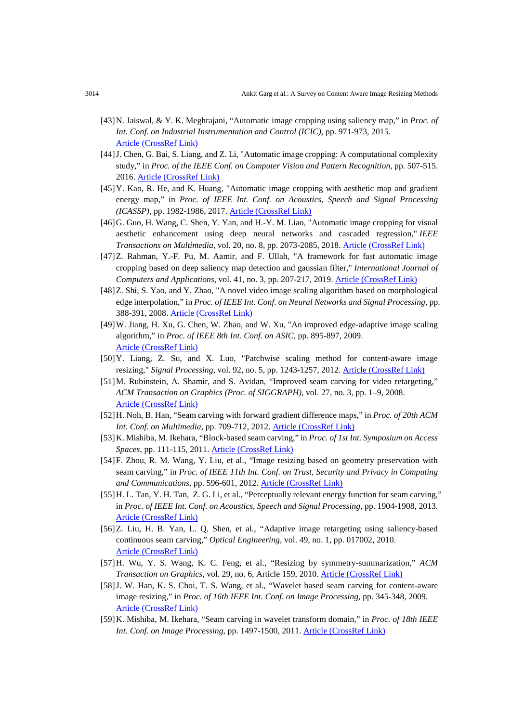- [43]N. Jaiswal, & Y. K. Meghrajani, "Automatic image cropping using saliency map," in *Proc. of Int. Conf. on Industrial Instrumentation and Control (ICIC)*, pp. 971-973, 2015. [Article \(CrossRef Link\)](https://doi.org/10.1109/IIC.2015.7150885)
- [44]J. Chen, G. Bai, S. Liang, and Z. Li, "Automatic image cropping: A computational complexity study," in *Proc. of the IEEE Conf. on Computer Vision and Pattern Recognition*, pp. 507-515. 2016. [Article \(CrossRef Link\)](https://doi.org/10.1109/CVPR.2016.61)
- [45]Y. Kao, R. He, and K. Huang, "Automatic image cropping with aesthetic map and gradient energy map," in *Proc. of IEEE Int. Conf. on Acoustics, Speech and Signal Processing (ICASSP)*, pp. 1982-1986, 2017. [Article \(CrossRef Link\)](https://doi.org/10.1109/ICASSP.2017.7952503)
- [46]G. Guo, H. Wang, C. Shen, Y. Yan, and H.-Y. M. Liao, "Automatic image cropping for visual aesthetic enhancement using deep neural networks and cascaded regression," *IEEE Transactions on Multimedia*, vol. 20, no. 8, pp. 2073-2085, 2018. [Article \(CrossRef Link\)](https://doi.org/10.1109/TMM.2018.2794262)
- [47]Z. Rahman, Y.-F. Pu, M. Aamir, and F. Ullah, "A framework for fast automatic image cropping based on deep saliency map detection and gaussian filter," *International Journal of Computers and Applications*, vol. 41, no. 3, pp. 207-217, 2019. [Article \(CrossRef Link\)](https://doi.org/10.1080/1206212X.2017.1422358)
- [48]Z. Shi, S. Yao, and Y. Zhao, "A novel video image scaling algorithm based on morphological edge interpolation," in *Proc. of IEEE Int. Conf. on Neural Networks and Signal Processing*, pp. 388-391, 2008. [Article \(CrossRef Link\)](https://doi.org/10.1109/ICNNSP.2008.4590378)
- [49]W. Jiang, H. Xu, G. Chen, W. Zhao, and W. Xu, "An improved edge-adaptive image scaling algorithm," in *Proc. of IEEE 8th Int. Conf. on ASIC*, pp. 895-897, 2009. [Article \(CrossRef Link\)](https://doi.org/10.1109/ASICON.2009.5351551)
- [50]Y. Liang, Z. Su, and X. Luo, "Patchwise scaling method for content-aware image resizing," *Signal Processing*, vol. 92, no. 5, pp. 1243-1257, 2012. [Article \(CrossRef Link\)](https://doi.org/10.1016/j.sigpro.2011.11.018)
- [51]M. Rubinstein, A. Shamir, and S. Avidan, "Improved seam carving for video retargeting," *ACM Transaction on Graphics (Proc. of SIGGRAPH)*, vol. 27, no. 3, pp. 1–9, 2008. [Article \(CrossRef Link\)](https://doi.org/10.1145/1360612.1360615)
- [52]H. Noh, B. Han, "Seam carving with forward gradient difference maps," in *Proc. of 20th ACM Int. Conf. on Multimedia*, pp. 709-712, 2012. [Article \(CrossRef Link\)](https://doi.org/10.1145/2393347.2396293)
- [53]K. Mishiba, M. Ikehara, "Block-based seam carving," in *Proc. of 1st Int. Symposium on Access Spaces*, pp. 111-115, 2011. [Article \(CrossRef Link\)](https://doi.org/10.1109/ISAS.2011.5960930)
- [54]F. Zhou, R. M. Wang, Y. Liu, et al., "Image resizing based on geometry preservation with seam carving," in *Proc. of IEEE 11th Int. Conf. on Trust, Security and Privacy in Computing and Communications*, pp. 596-601, 2012. [Article \(CrossRef Link\)](https://doi.org/10.1109/TrustCom.2012.181)
- [55]H. L. Tan, Y. H. Tan, Z. G. Li, et al., "Perceptually relevant energy function for seam carving," in *Proc. of IEEE Int. Conf. on Acoustics, Speech and Signal Processing*, pp. 1904-1908, 2013. [Article \(CrossRef Link\)](https://doi.org/10.1109/ICASSP.2013.6637984)
- [56]Z. Liu, H. B. Yan, L. Q. Shen, et al., "Adaptive image retargeting using saliency-based continuous seam carving," *Optical Engineering*, vol. 49, no. 1, pp. 017002, 2010. [Article \(CrossRef Link\)](https://doi.org/10.1117/1.3281667)
- [57]H. Wu, Y. S. Wang, K. C. Feng, et al., "Resizing by symmetry-summarization," *ACM Transaction on Graphics*, vol. 29, no. 6, Article 159, 2010. [Article \(CrossRef Link\)](https://doi.org/10.1145/1882261.1866185)
- [58]J. W. Han, K. S. Choi, T. S. Wang, et al., "Wavelet based seam carving for content-aware image resizing," in *Proc. of 16th IEEE Int. Conf. on Image Processing*, pp. 345-348, 2009. [Article \(CrossRef Link\)](https://doi.org/10.1109/ICIP.2009.5414414)
- [59]K. Mishiba, M. Ikehara, "Seam carving in wavelet transform domain," in *Proc. of 18th IEEE Int. Conf. on Image Processing*, pp. 1497-1500, 2011. [Article \(CrossRef Link\)](https://doi.org/10.1109/ICIP.2011.6115727)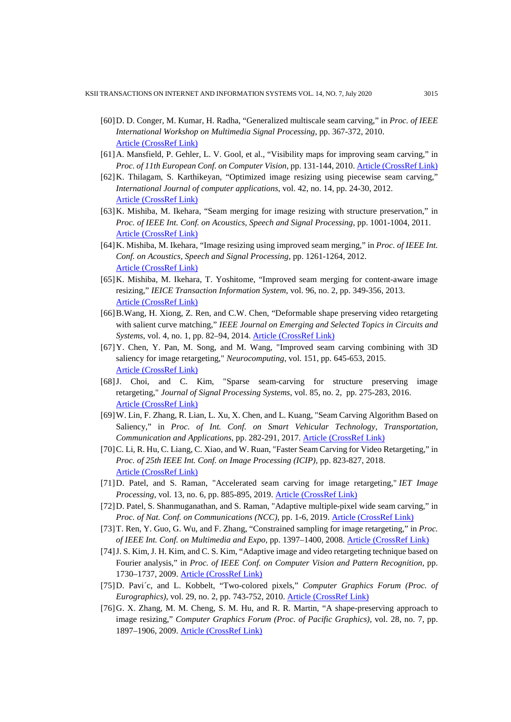- [60]D. D. Conger, M. Kumar, H. Radha, "Generalized multiscale seam carving," in *Proc. of IEEE International Workshop on Multimedia Signal Processing*, pp. 367-372, 2010. [Article \(CrossRef Link\)](https://doi.org/10.1109/MMSP.2010.5662048)
- [61]A. Mansfield, P. Gehler, L. V. Gool, et al., "Visibility maps for improving seam carving," in *Proc. of 11th European Conf. on Computer Vision*, pp. 131-144, 2010. [Article \(CrossRef Link\)](https://doi.org/10.1007/978-3-642-35740-4_11)
- [62]K. Thilagam, S. Karthikeyan, "Optimized image resizing using piecewise seam carving," *International Journal of computer applications*, vol. 42, no. 14, pp. 24-30, 2012. [Article \(CrossRef Link\)](https://doi.org/10.5120/5760-7909)
- [63]K. Mishiba, M. Ikehara, "Seam merging for image resizing with structure preservation," in *Proc. of IEEE Int. Conf. on Acoustics, Speech and Signal Processing*, pp. 1001-1004, 2011. [Article \(CrossRef Link\)](https://doi.org/10.1109/ICASSP.2011.5946575)
- [64]K. Mishiba, M. Ikehara, "Image resizing using improved seam merging," in *Proc. of IEEE Int. Conf. on Acoustics, Speech and Signal Processing*, pp. 1261-1264, 2012. [Article \(CrossRef Link\)](https://doi.org/10.1109/ICASSP.2012.6288118)
- [65]K. Mishiba, M. Ikehara, T. Yoshitome, "Improved seam merging for content-aware image resizing," *IEICE Transaction Information System*, vol. 96, no. 2, pp. 349-356, 2013. [Article \(CrossRef Link\)](https://doi.org/10.1587/transinf.E96.D.349)
- [66]B.Wang, H. Xiong, Z. Ren, and C.W. Chen, "Deformable shape preserving video retargeting with salient curve matching," *IEEE Journal on Emerging and Selected Topics in Circuits and Systems*, vol. 4, no. 1, pp. 82–94, 2014. [Article \(CrossRef Link\)](https://doi.org/10.1109/JETCAS.2014.2298313)
- [67]Y. Chen, Y. Pan, M. Song, and M. Wang, "Improved seam carving combining with 3D saliency for image retargeting," *Neurocomputing*, vol. 151, pp. 645-653, 2015. [Article \(CrossRef Link\)](https://doi.org/10.1016/j.neucom.2014.05.089)
- [68]J. Choi, and C. Kim, "Sparse seam-carving for structure preserving image retargeting," *Journal of Signal Processing Systems*, vol. 85, no. 2, pp. 275-283, 2016. [Article \(CrossRef Link\)](https://doi.org/10.1007/s11265-015-1084-3)
- [69]W. Lin, F. Zhang, R. Lian, L. Xu, X. Chen, and L. Kuang, "Seam Carving Algorithm Based on Saliency," in *Proc. of Int. Conf. on Smart Vehicular Technology, Transportation, Communication and Applications*, pp. 282-291, 2017. [Article \(CrossRef Link\)](https://doi.org/10.1007/978-3-319-70730-3_34)
- [70]C. Li, R. Hu, C. Liang, C. Xiao, and W. Ruan, "Faster Seam Carving for Video Retargeting," in *Proc. of 25th IEEE Int. Conf. on Image Processing (ICIP)*, pp. 823-827, 2018. [Article \(CrossRef Link\)](https://doi.org/10.1109/ICIP.2018.8451794)
- [71]D. Patel, and S. Raman, "Accelerated seam carving for image retargeting," *IET Image Processing*, vol. 13, no. 6, pp. 885-895, 2019. [Article \(CrossRef Link\)](https://doi.org/10.1049/iet-ipr.2018.5283)
- [72]D. Patel, S. Shanmuganathan, and S. Raman, "Adaptive multiple-pixel wide seam carving," in *Proc. of Nat. Conf. on Communications (NCC)*, pp. 1-6, 2019. [Article \(CrossRef Link\)](https://doi.org/10.1109/NCC.2019.8732245)
- [73]T. Ren, Y. Guo, G. Wu, and F. Zhang, "Constrained sampling for image retargeting," in *Proc. of IEEE Int. Conf. on Multimedia and Expo*, pp. 1397–1400, 2008. [Article \(CrossRef Link\)](https://doi.org/10.1109/ICME.2008.4607705)
- [74]J. S. Kim, J. H. Kim, and C. S. Kim, "Adaptive image and video retargeting technique based on Fourier analysis," in *Proc. of IEEE Conf. on Computer Vision and Pattern Recognition*, pp. 1730–1737, 2009. [Article \(CrossRef Link\)](https://doi.org/10.1109/CVPR.2009.5206666)
- [75]D. Pavi´c, and L. Kobbelt, "Two-colored pixels," *Computer Graphics Forum (Proc. of Eurographics)*, vol. 29, no. 2, pp. 743-752, 2010. [Article \(CrossRef Link\)](https://doi.org/10.1111/j.1467-8659.2009.01644.x)
- [76] G. X. Zhang, M. M. Cheng, S. M. Hu, and R. R. Martin, "A shape-preserving approach to image resizing," *Computer Graphics Forum (Proc. of Pacific Graphics)*, vol. 28, no. 7, pp. 1897–1906, 2009. [Article \(CrossRef Link\)](https://doi.org/10.1111/j.1467-8659.2009.01568.x)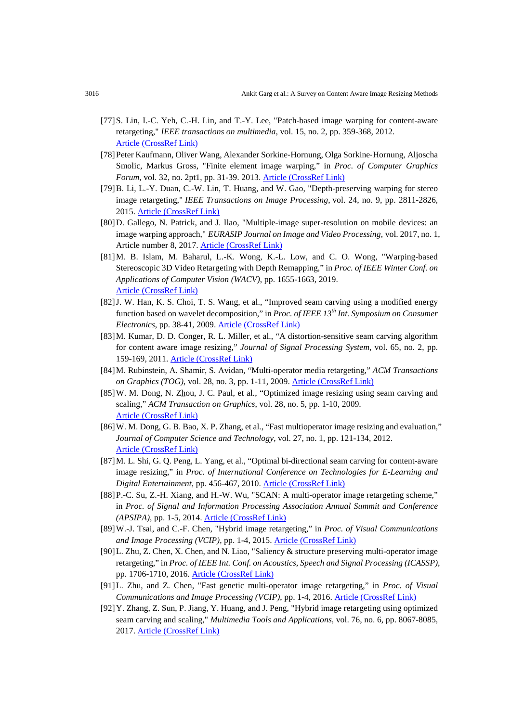- [77]S. Lin, I.-C. Yeh, C.-H. Lin, and T.-Y. Lee, "Patch-based image warping for content-aware retargeting," *IEEE transactions on multimedia*, vol. 15, no. 2, pp. 359-368, 2012. [Article \(CrossRef Link\)](https://doi.org/10.1109/TMM.2012.2228475)
- [78]Peter Kaufmann, Oliver Wang, Alexander Sorkine‐Hornung, Olga Sorkine‐Hornung, Aljoscha Smolic, Markus Gross, "Finite element image warping," in *Proc. of Computer Graphics Forum*, vol. 32, no. 2pt1, pp. 31-39. 2013. [Article \(CrossRef Link\)](https://doi.org/10.1111/cgf.12023)
- [79]B. Li, L.-Y. Duan, C.-W. Lin, T. Huang, and W. Gao, "Depth-preserving warping for stereo image retargeting," *IEEE Transactions on Image Processing*, vol. 24, no. 9, pp. 2811-2826, 2015. [Article \(CrossRef Link\)](https://doi.org/10.1109/TIP.2015.2431441)
- [80]D. Gallego, N. Patrick, and J. Ilao, "Multiple-image super-resolution on mobile devices: an image warping approach," *EURASIP Journal on Image and Video Processing*, vol. 2017, no. 1, Article number 8, 2017. [Article \(CrossRef Link\)](https://doi.org/10.1186/s13640-016-0156-z)
- [81]M. B. Islam, M. Baharul, L.-K. Wong, K.-L. Low, and C. O. Wong, "Warping-based Stereoscopic 3D Video Retargeting with Depth Remapping," in *Proc. of IEEE Winter Conf. on Applications of Computer Vision (WACV)*, pp. 1655-1663, 2019. [Article \(CrossRef Link\)](https://doi.org/10.1109/WACV.2019.00181)
- [82]J. W. Han, K. S. Choi, T. S. Wang, et al., "Improved seam carving using a modified energy function based on wavelet decomposition," in *Proc. of IEEE 13th Int. Symposium on Consumer Electronics*, pp. 38-41, 2009. [Article \(CrossRef Link\)](https://doi.org/10.1109/ISCE.2009.5156936)
- [83]M. Kumar, D. D. Conger, R. L. Miller, et al., "A distortion-sensitive seam carving algorithm for content aware image resizing," *Journal of Signal Processing System*, vol. 65, no. 2, pp. 159-169, 2011. [Article \(CrossRef Link\)](https://doi.org/10.1007/s11265-011-0613-y)
- [84]M. Rubinstein, A. Shamir, S. Avidan, "Multi-operator media retargeting," *ACM Transactions on Graphics (TOG)*, vol. 28, no. 3, pp. 1-11, 2009. [Article \(CrossRef Link\)](https://doi.org/10.1145/1531326.1531329)
- [85]W. M. Dong, N. Zhou, J. C. Paul, et al*.*, "Optimized image resizing using seam carving and scaling," *ACM Transaction on Graphics*, vol. 28, no. 5, pp. 1-10, 2009. [Article \(CrossRef Link\)](https://doi.org/10.1145/1618452.1618471)
- [86]W. M. Dong, G. B. Bao, X. P. Zhang, et al*.*, "Fast multioperator image resizing and evaluation," *Journal of Computer Science and Technology*, vol. 27, no. 1, pp. 121-134, 2012. [Article \(CrossRef Link\)](https://doi.org/10.1007/s11390-012-1211-6)
- [87]M. L. Shi, G. Q. Peng, L. Yang, et al*.*, "Optimal bi-directional seam carving for content-aware image resizing," in *Proc. of International Conference on Technologies for E-Learning and Digital Entertainment*, pp. 456-467, 2010. [Article \(CrossRef Link\)](https://doi.org/10.1007/978-3-642-14533-9_47)
- [88]P.-C. Su, Z.-H. Xiang, and H.-W. Wu, "SCAN: A multi-operator image retargeting scheme," in *Proc. of Signal and Information Processing Association Annual Summit and Conference (APSIPA)*, pp. 1-5, 2014. [Article \(CrossRef Link\)](https://doi.org/10.1109/APSIPA.2014.7041741)
- [89]W.-J. Tsai, and C.-F. Chen, "Hybrid image retargeting," in *Proc. of Visual Communications and Image Processing (VCIP)*, pp. 1-4, 2015. [Article \(CrossRef Link\)](https://doi.org/10.1109/VCIP.2015.7457847)
- [90]L. Zhu, Z. Chen, X. Chen, and N. Liao, "Saliency & structure preserving multi-operator image retargeting," in *Proc. of IEEE Int. Conf. on Acoustics, Speech and Signal Processing (ICASSP)*, pp. 1706-1710, 2016. [Article \(CrossRef Link\)](https://doi.org/10.1109/ICASSP.2016.7471968)
- [91]L. Zhu, and Z. Chen, "Fast genetic multi-operator image retargeting," in *Proc. of Visual Communications and Image Processing (VCIP)*, pp. 1-4, 2016. [Article \(CrossRef Link\)](https://doi.org/10.1109/VCIP.2016.7805467)
- [92]Y. Zhang, Z. Sun, P. Jiang, Y. Huang, and J. Peng, "Hybrid image retargeting using optimized seam carving and scaling," *Multimedia Tools and Applications*, vol. 76, no. 6, pp. 8067-8085, 2017. [Article \(CrossRef Link\)](https://doi.org/10.1007/s11042-016-3318-1)